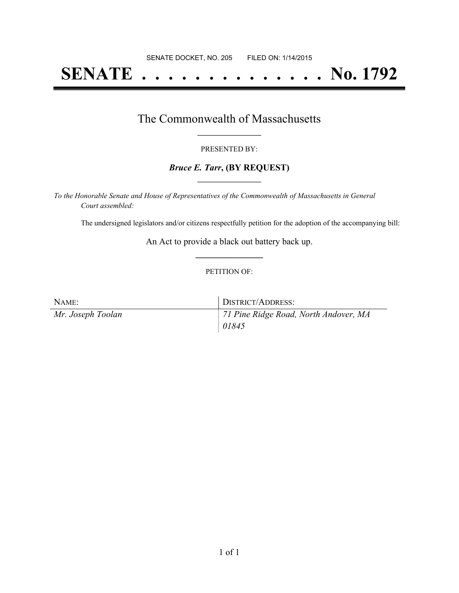# **SENATE . . . . . . . . . . . . . . No. 1792**

### The Commonwealth of Massachusetts **\_\_\_\_\_\_\_\_\_\_\_\_\_\_\_\_\_**

#### PRESENTED BY:

#### *Bruce E. Tarr***, (BY REQUEST) \_\_\_\_\_\_\_\_\_\_\_\_\_\_\_\_\_**

*To the Honorable Senate and House of Representatives of the Commonwealth of Massachusetts in General Court assembled:*

The undersigned legislators and/or citizens respectfully petition for the adoption of the accompanying bill:

An Act to provide a black out battery back up. **\_\_\_\_\_\_\_\_\_\_\_\_\_\_\_**

#### PETITION OF:

| NAME:             | DISTRICT/ADDRESS:                     |
|-------------------|---------------------------------------|
| Mr. Joseph Toolan | 71 Pine Ridge Road, North Andover, MA |
|                   | 01845                                 |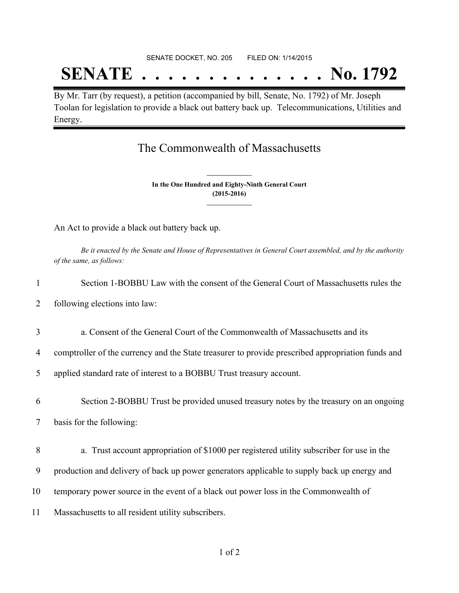## **SENATE . . . . . . . . . . . . . . No. 1792**

By Mr. Tarr (by request), a petition (accompanied by bill, Senate, No. 1792) of Mr. Joseph Toolan for legislation to provide a black out battery back up. Telecommunications, Utilities and Energy.

### The Commonwealth of Massachusetts

**In the One Hundred and Eighty-Ninth General Court (2015-2016) \_\_\_\_\_\_\_\_\_\_\_\_\_\_\_**

**\_\_\_\_\_\_\_\_\_\_\_\_\_\_\_**

An Act to provide a black out battery back up.

Be it enacted by the Senate and House of Representatives in General Court assembled, and by the authority *of the same, as follows:*

| 1  | Section 1-BOBBU Law with the consent of the General Court of Massachusetts rules the              |
|----|---------------------------------------------------------------------------------------------------|
| 2  | following elections into law:                                                                     |
| 3  | a. Consent of the General Court of the Commonwealth of Massachusetts and its                      |
| 4  | comptroller of the currency and the State treasurer to provide prescribed appropriation funds and |
| 5  | applied standard rate of interest to a BOBBU Trust treasury account.                              |
| 6  | Section 2-BOBBU Trust be provided unused treasury notes by the treasury on an ongoing             |
| 7  | basis for the following:                                                                          |
| 8  | a. Trust account appropriation of \$1000 per registered utility subscriber for use in the         |
| 9  | production and delivery of back up power generators applicable to supply back up energy and       |
| 10 | temporary power source in the event of a black out power loss in the Commonwealth of              |
| 11 | Massachusetts to all resident utility subscribers.                                                |